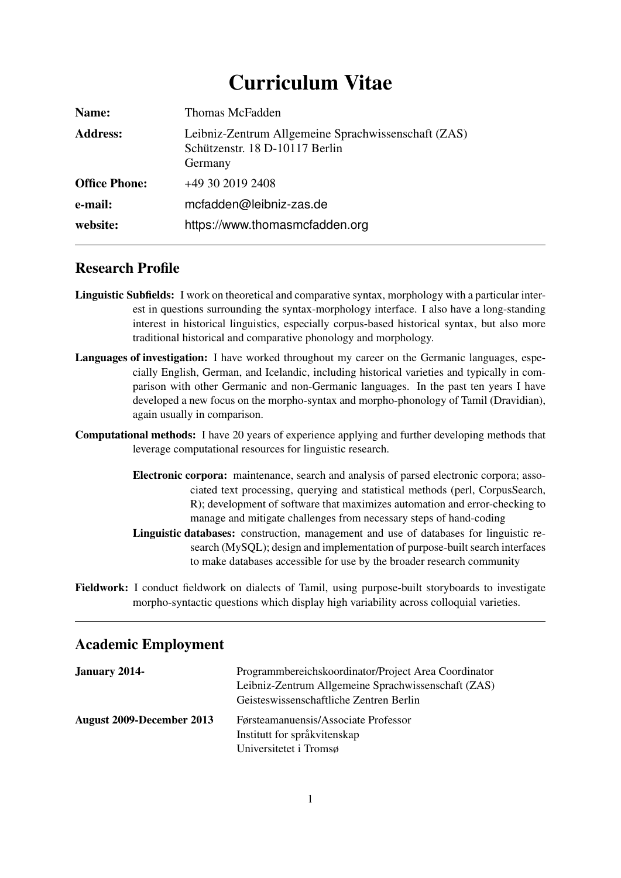# Curriculum Vitae

| Name:                | Thomas McFadden                                                                                  |
|----------------------|--------------------------------------------------------------------------------------------------|
| <b>Address:</b>      | Leibniz-Zentrum Allgemeine Sprachwissenschaft (ZAS)<br>Schützenstr. 18 D-10117 Berlin<br>Germany |
| <b>Office Phone:</b> | +49 30 2019 2408                                                                                 |
| e-mail:              | mcfadden@leibniz-zas.de                                                                          |
| website:             | https://www.thomasmcfadden.org                                                                   |

### Research Profile

- Linguistic Subfields: I work on theoretical and comparative syntax, morphology with a particular interest in questions surrounding the syntax-morphology interface. I also have a long-standing interest in historical linguistics, especially corpus-based historical syntax, but also more traditional historical and comparative phonology and morphology.
- Languages of investigation: I have worked throughout my career on the Germanic languages, especially English, German, and Icelandic, including historical varieties and typically in comparison with other Germanic and non-Germanic languages. In the past ten years I have developed a new focus on the morpho-syntax and morpho-phonology of Tamil (Dravidian), again usually in comparison.
- Computational methods: I have 20 years of experience applying and further developing methods that leverage computational resources for linguistic research.
	- Electronic corpora: maintenance, search and analysis of parsed electronic corpora; associated text processing, querying and statistical methods (perl, CorpusSearch, R); development of software that maximizes automation and error-checking to manage and mitigate challenges from necessary steps of hand-coding
	- Linguistic databases: construction, management and use of databases for linguistic research (MySQL); design and implementation of purpose-built search interfaces to make databases accessible for use by the broader research community
- Fieldwork: I conduct fieldwork on dialects of Tamil, using purpose-built storyboards to investigate morpho-syntactic questions which display high variability across colloquial varieties.

### Academic Employment

| <b>January 2014-</b>      | Programmbereichskoordinator/Project Area Coordinator<br>Leibniz-Zentrum Allgemeine Sprachwissenschaft (ZAS)<br>Geisteswissenschaftliche Zentren Berlin |
|---------------------------|--------------------------------------------------------------------------------------------------------------------------------------------------------|
| August 2009-December 2013 | Førsteamanuensis/Associate Professor<br>Institutt for språkvitenskap<br>Universitetet i Tromsø                                                         |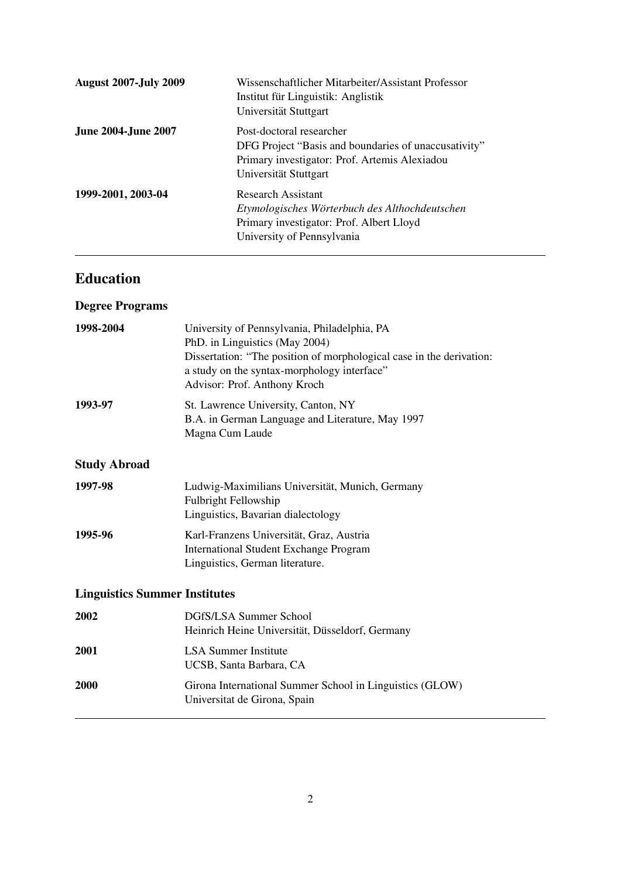| <b>August 2007-July 2009</b> | Wissenschaftlicher Mitarbeiter/Assistant Professor<br>Institut für Linguistik: Anglistik<br>Universität Stuttgart                                          |
|------------------------------|------------------------------------------------------------------------------------------------------------------------------------------------------------|
| <b>June 2004-June 2007</b>   | Post-doctoral researcher<br>DFG Project "Basis and boundaries of unaccusativity"<br>Primary investigator: Prof. Artemis Alexiadou<br>Universität Stuttgart |
| 1999-2001, 2003-04           | <b>Research Assistant</b><br>Etymologisches Wörterbuch des Althochdeutschen<br>Primary investigator: Prof. Albert Lloyd<br>University of Pennsylvania      |

# Education

# Degree Programs

| 1998-2004                            | University of Pennsylvania, Philadelphia, PA<br>PhD. in Linguistics (May 2004)<br>Dissertation: "The position of morphological case in the derivation:<br>a study on the syntax-morphology interface"<br>Advisor: Prof. Anthony Kroch |
|--------------------------------------|---------------------------------------------------------------------------------------------------------------------------------------------------------------------------------------------------------------------------------------|
| 1993-97                              | St. Lawrence University, Canton, NY<br>B.A. in German Language and Literature, May 1997<br>Magna Cum Laude                                                                                                                            |
| <b>Study Abroad</b>                  |                                                                                                                                                                                                                                       |
| 1997-98                              | Ludwig-Maximilians Universität, Munich, Germany<br><b>Fulbright Fellowship</b><br>Linguistics, Bavarian dialectology                                                                                                                  |
| 1995-96                              | Karl-Franzens Universität, Graz, Austria<br><b>International Student Exchange Program</b><br>Linguistics, German literature.                                                                                                          |
| <b>Linguistics Summer Institutes</b> |                                                                                                                                                                                                                                       |
| 2002                                 | DGfS/LSA Summer School<br>Heinrich Heine Universität, Düsseldorf, Germany                                                                                                                                                             |
| 2001                                 | <b>LSA Summer Institute</b><br>UCSB, Santa Barbara, CA                                                                                                                                                                                |
| 2000                                 | Girona International Summer School in Linguistics (GLOW)<br>Universitat de Girona, Spain                                                                                                                                              |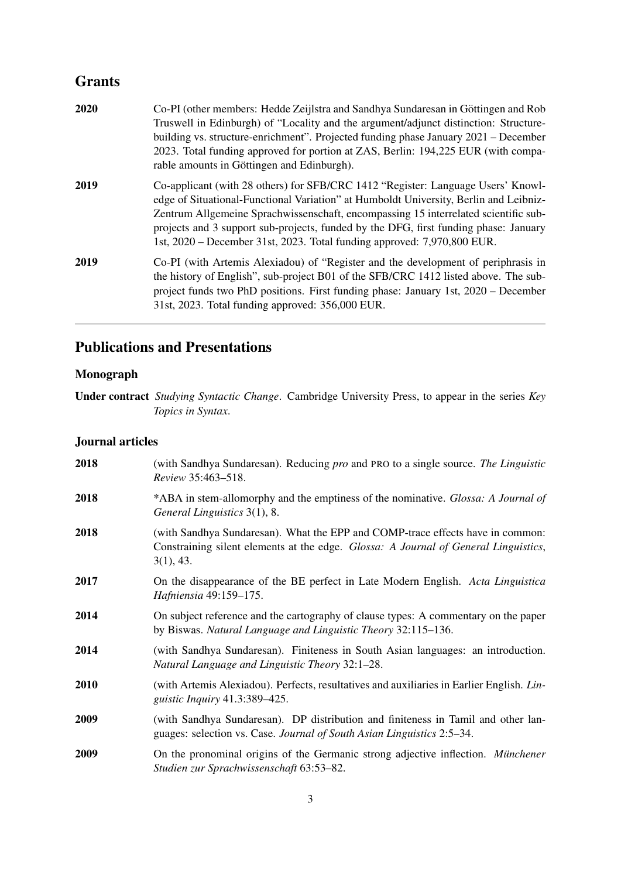# **Grants**

| 2020 | Co-PI (other members: Hedde Zeijlstra and Sandhya Sundaresan in Göttingen and Rob<br>Truswell in Edinburgh) of "Locality and the argument/adjunct distinction: Structure-<br>building vs. structure-enrichment". Projected funding phase January 2021 – December<br>2023. Total funding approved for portion at ZAS, Berlin: 194,225 EUR (with compa-<br>rable amounts in Göttingen and Edinburgh).                                 |
|------|-------------------------------------------------------------------------------------------------------------------------------------------------------------------------------------------------------------------------------------------------------------------------------------------------------------------------------------------------------------------------------------------------------------------------------------|
| 2019 | Co-applicant (with 28 others) for SFB/CRC 1412 "Register: Language Users' Knowl-<br>edge of Situational-Functional Variation" at Humboldt University, Berlin and Leibniz-<br>Zentrum Allgemeine Sprachwissenschaft, encompassing 15 interrelated scientific sub-<br>projects and 3 support sub-projects, funded by the DFG, first funding phase: January<br>1st, 2020 – December 31st, 2023. Total funding approved: 7,970,800 EUR. |
| 2019 | Co-PI (with Artemis Alexiadou) of "Register and the development of periphrasis in<br>the history of English", sub-project B01 of the SFB/CRC 1412 listed above. The sub-<br>project funds two PhD positions. First funding phase: January 1st, 2020 – December<br>31st, 2023. Total funding approved: 356,000 EUR.                                                                                                                  |

# Publications and Presentations

### Monograph

### Journal articles

| 2018 | (with Sandhya Sundaresan). Reducing pro and PRO to a single source. The Linguistic<br>Review 35:463-518.                                                                                   |
|------|--------------------------------------------------------------------------------------------------------------------------------------------------------------------------------------------|
| 2018 | *ABA in stem-allomorphy and the emptiness of the nominative. Glossa: A Journal of<br>General Linguistics 3(1), 8.                                                                          |
| 2018 | (with Sandhya Sundaresan). What the EPP and COMP-trace effects have in common:<br>Constraining silent elements at the edge. <i>Glossa: A Journal of General Linguistics</i> ,<br>3(1), 43. |
| 2017 | On the disappearance of the BE perfect in Late Modern English. Acta Linguistica<br>Hafniensia 49:159-175.                                                                                  |
| 2014 | On subject reference and the cartography of clause types: A commentary on the paper<br>by Biswas. Natural Language and Linguistic Theory 32:115–136.                                       |
| 2014 | (with Sandhya Sundaresan). Finiteness in South Asian languages: an introduction.<br>Natural Language and Linguistic Theory 32:1–28.                                                        |
| 2010 | (with Artemis Alexiadou). Perfects, resultatives and auxiliaries in Earlier English. Lin-<br><i>guistic Inquiry</i> 41.3:389–425.                                                          |
| 2009 | (with Sandhya Sundaresan). DP distribution and finiteness in Tamil and other lan-<br>guages: selection vs. Case. Journal of South Asian Linguistics 2:5–34.                                |
| 2009 | On the pronominal origins of the Germanic strong adjective inflection. Münchener<br>Studien zur Sprachwissenschaft 63:53-82.                                                               |

Under contract *Studying Syntactic Change*. Cambridge University Press, to appear in the series *Key Topics in Syntax*.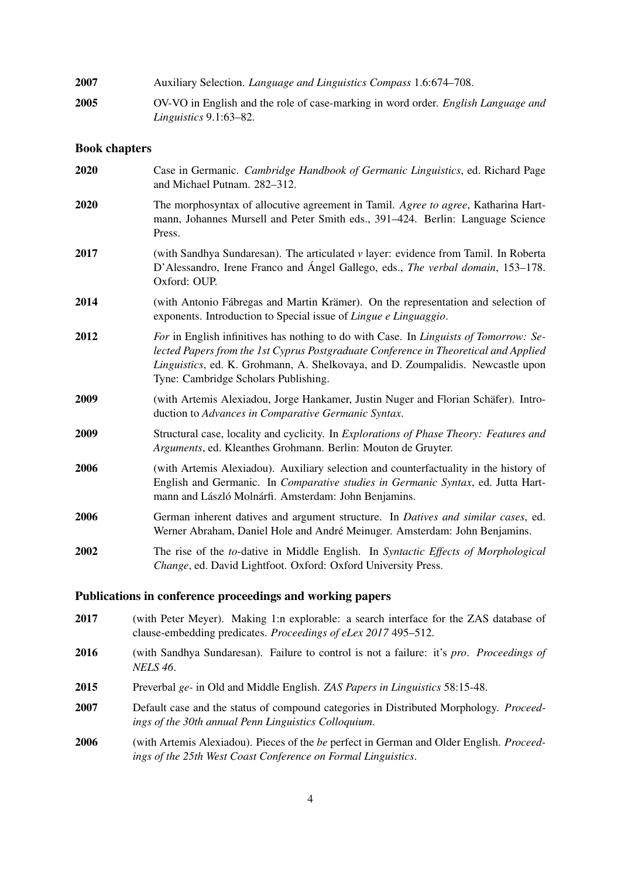| 2007 | Auxiliary Selection. <i>Language and Linguistics Compass</i> 1.6:674–708.                |
|------|------------------------------------------------------------------------------------------|
| 2005 | OV-VO in English and the role of case-marking in word order. <i>English Language and</i> |
|      | Linguistics $9.1:63-82$ .                                                                |

#### Book chapters

| <b>2020</b> | Case in Germanic. Cambridge Handbook of Germanic Linguistics, ed. Richard Page<br>and Michael Putnam. 282-312.                                                                                                                                                                                           |
|-------------|----------------------------------------------------------------------------------------------------------------------------------------------------------------------------------------------------------------------------------------------------------------------------------------------------------|
| <b>2020</b> | The morphosyntax of allocutive agreement in Tamil. Agree to agree, Katharina Hart-<br>mann, Johannes Mursell and Peter Smith eds., 391–424. Berlin: Language Science<br>Press.                                                                                                                           |
| 2017        | (with Sandhya Sundaresan). The articulated $\nu$ layer: evidence from Tamil. In Roberta<br>D'Alessandro, Irene Franco and Ángel Gallego, eds., The verbal domain, 153–178.<br>Oxford: OUP.                                                                                                               |
| 2014        | (with Antonio Fábregas and Martin Krämer). On the representation and selection of<br>exponents. Introduction to Special issue of Lingue e Linguaggio.                                                                                                                                                    |
| 2012        | For in English infinitives has nothing to do with Case. In Linguists of Tomorrow: Se-<br>lected Papers from the 1st Cyprus Postgraduate Conference in Theoretical and Applied<br>Linguistics, ed. K. Grohmann, A. Shelkovaya, and D. Zoumpalidis. Newcastle upon<br>Tyne: Cambridge Scholars Publishing. |
| 2009        | (with Artemis Alexiadou, Jorge Hankamer, Justin Nuger and Florian Schäfer). Intro-<br>duction to Advances in Comparative Germanic Syntax.                                                                                                                                                                |
| 2009        | Structural case, locality and cyclicity. In Explorations of Phase Theory: Features and<br>Arguments, ed. Kleanthes Grohmann. Berlin: Mouton de Gruyter.                                                                                                                                                  |
| 2006        | (with Artemis Alexiadou). Auxiliary selection and counterfactuality in the history of<br>English and Germanic. In Comparative studies in Germanic Syntax, ed. Jutta Hart-<br>mann and László Molnárfi. Amsterdam: John Benjamins.                                                                        |
| 2006        | German inherent datives and argument structure. In Datives and similar cases, ed.<br>Werner Abraham, Daniel Hole and André Meinuger. Amsterdam: John Benjamins.                                                                                                                                          |
| 2002        | The rise of the to-dative in Middle English. In Syntactic Effects of Morphological<br>Change, ed. David Lightfoot. Oxford: Oxford University Press.                                                                                                                                                      |

- 2017 (with Peter Meyer). Making 1:n explorable: a search interface for the ZAS database of clause-embedding predicates. *Proceedings of eLex 2017* 495–512.
- 2016 (with Sandhya Sundaresan). Failure to control is not a failure: it's *pro*. *Proceedings of NELS 46*.
- 2015 Preverbal *ge-* in Old and Middle English. *ZAS Papers in Linguistics* 58:15-48.
- 2007 Default case and the status of compound categories in Distributed Morphology. *Proceedings of the 30th annual Penn Linguistics Colloquium*.
- 2006 (with Artemis Alexiadou). Pieces of the *be* perfect in German and Older English. *Proceedings of the 25th West Coast Conference on Formal Linguistics*.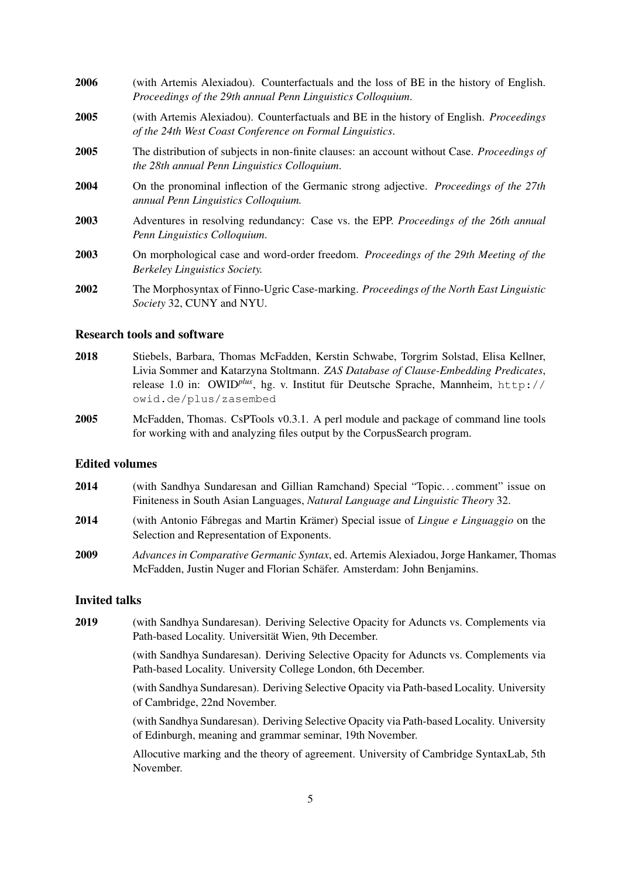| 2006 | (with Artemis Alexiadou). Counterfactuals and the loss of BE in the history of English.<br>Proceedings of the 29th annual Penn Linguistics Colloquium.     |
|------|------------------------------------------------------------------------------------------------------------------------------------------------------------|
| 2005 | (with Artemis Alexiadou). Counterfactuals and BE in the history of English. <i>Proceedings</i><br>of the 24th West Coast Conference on Formal Linguistics. |
| 2005 | The distribution of subjects in non-finite clauses: an account without Case. <i>Proceedings of</i><br>the 28th annual Penn Linguistics Colloquium.         |
| 2004 | On the pronominal inflection of the Germanic strong adjective. Proceedings of the 27th<br>annual Penn Linguistics Colloquium.                              |
| 2003 | Adventures in resolving redundancy: Case vs. the EPP. Proceedings of the 26th annual<br>Penn Linguistics Colloquium.                                       |
| 2003 | On morphological case and word-order freedom. Proceedings of the 29th Meeting of the<br><b>Berkeley Linguistics Society.</b>                               |
| 2002 | The Morphosyntax of Finno-Ugric Case-marking. Proceedings of the North East Linguistic<br>Society 32, CUNY and NYU.                                        |

#### Research tools and software

- 2018 Stiebels, Barbara, Thomas McFadden, Kerstin Schwabe, Torgrim Solstad, Elisa Kellner, Livia Sommer and Katarzyna Stoltmann. *ZAS Database of Clause-Embedding Predicates*, release 1.0 in: OWID<sup>plus</sup>, hg. v. Institut für Deutsche Sprache, Mannheim, http:// owid.de/plus/zasembed
- 2005 McFadden, Thomas. CsPTools v0.3.1. A perl module and package of command line tools for working with and analyzing files output by the CorpusSearch program.

#### Edited volumes

- 2014 (with Sandhya Sundaresan and Gillian Ramchand) Special "Topic. . . comment" issue on Finiteness in South Asian Languages, *Natural Language and Linguistic Theory* 32.
- 2014 (with Antonio Fábregas and Martin Krämer) Special issue of *Lingue e Linguaggio* on the Selection and Representation of Exponents.
- 2009 *Advances in Comparative Germanic Syntax*, ed. Artemis Alexiadou, Jorge Hankamer, Thomas McFadden, Justin Nuger and Florian Schafer. Amsterdam: John Benjamins. ¨

#### Invited talks

2019 (with Sandhya Sundaresan). Deriving Selective Opacity for Aduncts vs. Complements via Path-based Locality. Universität Wien, 9th December.

> (with Sandhya Sundaresan). Deriving Selective Opacity for Aduncts vs. Complements via Path-based Locality. University College London, 6th December.

> (with Sandhya Sundaresan). Deriving Selective Opacity via Path-based Locality. University of Cambridge, 22nd November.

> (with Sandhya Sundaresan). Deriving Selective Opacity via Path-based Locality. University of Edinburgh, meaning and grammar seminar, 19th November.

> Allocutive marking and the theory of agreement. University of Cambridge SyntaxLab, 5th November.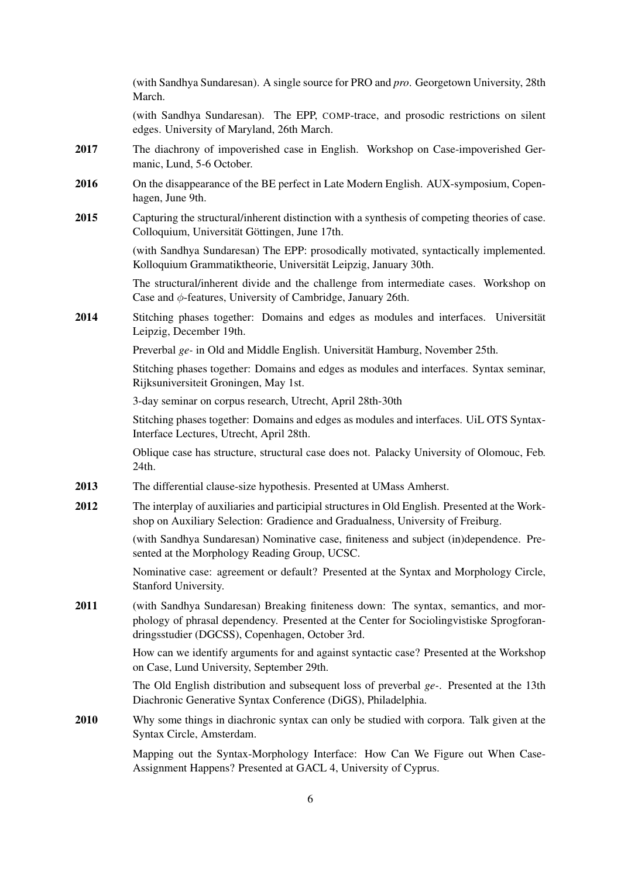|      | (with Sandhya Sundaresan). A single source for PRO and pro. Georgetown University, 28th<br>March.                                                                                                                                  |
|------|------------------------------------------------------------------------------------------------------------------------------------------------------------------------------------------------------------------------------------|
|      | (with Sandhya Sundaresan). The EPP, COMP-trace, and prosodic restrictions on silent<br>edges. University of Maryland, 26th March.                                                                                                  |
| 2017 | The diachrony of impoverished case in English. Workshop on Case-impoverished Ger-<br>manic, Lund, 5-6 October.                                                                                                                     |
| 2016 | On the disappearance of the BE perfect in Late Modern English. AUX-symposium, Copen-<br>hagen, June 9th.                                                                                                                           |
| 2015 | Capturing the structural/inherent distinction with a synthesis of competing theories of case.<br>Colloquium, Universität Göttingen, June 17th.                                                                                     |
|      | (with Sandhya Sundaresan) The EPP: prosodically motivated, syntactically implemented.<br>Kolloquium Grammatiktheorie, Universität Leipzig, January 30th.                                                                           |
|      | The structural/inherent divide and the challenge from intermediate cases. Workshop on<br>Case and $\phi$ -features, University of Cambridge, January 26th.                                                                         |
| 2014 | Stitching phases together: Domains and edges as modules and interfaces. Universität<br>Leipzig, December 19th.                                                                                                                     |
|      | Preverbal ge- in Old and Middle English. Universität Hamburg, November 25th.                                                                                                                                                       |
|      | Stitching phases together: Domains and edges as modules and interfaces. Syntax seminar,<br>Rijksuniversiteit Groningen, May 1st.                                                                                                   |
|      | 3-day seminar on corpus research, Utrecht, April 28th-30th                                                                                                                                                                         |
|      | Stitching phases together: Domains and edges as modules and interfaces. UiL OTS Syntax-<br>Interface Lectures, Utrecht, April 28th.                                                                                                |
|      | Oblique case has structure, structural case does not. Palacky University of Olomouc, Feb.<br>24th.                                                                                                                                 |
| 2013 | The differential clause-size hypothesis. Presented at UMass Amherst.                                                                                                                                                               |
| 2012 | The interplay of auxiliaries and participial structures in Old English. Presented at the Work-<br>shop on Auxiliary Selection: Gradience and Gradualness, University of Freiburg.                                                  |
|      | (with Sandhya Sundaresan) Nominative case, finiteness and subject (in)dependence. Pre-<br>sented at the Morphology Reading Group, UCSC.                                                                                            |
|      | Nominative case: agreement or default? Presented at the Syntax and Morphology Circle,<br>Stanford University.                                                                                                                      |
| 2011 | (with Sandhya Sundaresan) Breaking finiteness down: The syntax, semantics, and mor-<br>phology of phrasal dependency. Presented at the Center for Sociolingvistiske Sprogforan-<br>dringsstudier (DGCSS), Copenhagen, October 3rd. |
|      | How can we identify arguments for and against syntactic case? Presented at the Workshop<br>on Case, Lund University, September 29th.                                                                                               |
|      | The Old English distribution and subsequent loss of preverbal $ge$ . Presented at the 13th<br>Diachronic Generative Syntax Conference (DiGS), Philadelphia.                                                                        |
| 2010 | Why some things in diachronic syntax can only be studied with corpora. Talk given at the<br>Syntax Circle, Amsterdam.                                                                                                              |
|      | Mapping out the Syntax-Morphology Interface: How Can We Figure out When Case-<br>Assignment Happens? Presented at GACL 4, University of Cyprus.                                                                                    |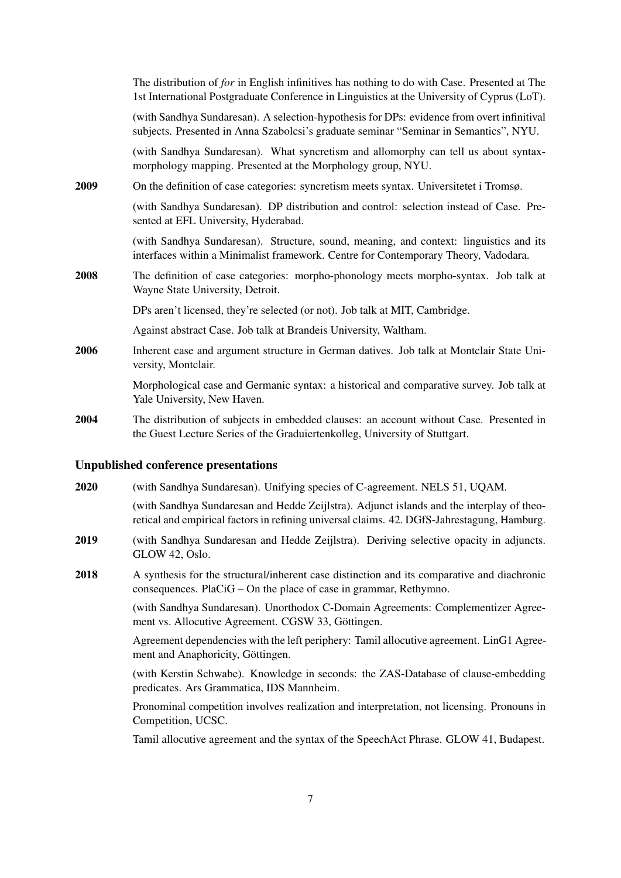|             | The distribution of for in English infinitives has nothing to do with Case. Presented at The<br>1st International Postgraduate Conference in Linguistics at the University of Cyprus (LoT). |
|-------------|---------------------------------------------------------------------------------------------------------------------------------------------------------------------------------------------|
|             | (with Sandhya Sundaresan). A selection-hypothesis for DPs: evidence from overt infinitival<br>subjects. Presented in Anna Szabolcsi's graduate seminar "Seminar in Semantics", NYU.         |
|             | (with Sandhya Sundaresan). What syncretism and allomorphy can tell us about syntax-<br>morphology mapping. Presented at the Morphology group, NYU.                                          |
| 2009        | On the definition of case categories: syncretism meets syntax. Universitetet i Tromsø.                                                                                                      |
|             | (with Sandhya Sundaresan). DP distribution and control: selection instead of Case. Pre-<br>sented at EFL University, Hyderabad.                                                             |
|             | (with Sandhya Sundaresan). Structure, sound, meaning, and context: linguistics and its<br>interfaces within a Minimalist framework. Centre for Contemporary Theory, Vadodara.               |
| <b>2008</b> | The definition of case categories: morpho-phonology meets morpho-syntax. Job talk at<br>Wayne State University, Detroit.                                                                    |
|             | DPs aren't licensed, they're selected (or not). Job talk at MIT, Cambridge.                                                                                                                 |
|             | Against abstract Case. Job talk at Brandeis University, Waltham.                                                                                                                            |
| 2006        | Inherent case and argument structure in German datives. Job talk at Montclair State Uni-<br>versity, Montclair.                                                                             |
|             | Morphological case and Germanic syntax: a historical and comparative survey. Job talk at<br>Yale University, New Haven.                                                                     |
| 2004        | The distribution of subjects in embedded clauses: an account without Case. Presented in<br>the Guest Lecture Series of the Graduiertenkolleg, University of Stuttgart.                      |
|             |                                                                                                                                                                                             |

#### Unpublished conference presentations

2020 (with Sandhya Sundaresan). Unifying species of C-agreement. NELS 51, UQAM.

(with Sandhya Sundaresan and Hedde Zeijlstra). Adjunct islands and the interplay of theoretical and empirical factors in refining universal claims. 42. DGfS-Jahrestagung, Hamburg.

- 2019 (with Sandhya Sundaresan and Hedde Zeijlstra). Deriving selective opacity in adjuncts. GLOW 42, Oslo.
- 2018 A synthesis for the structural/inherent case distinction and its comparative and diachronic consequences. PlaCiG – On the place of case in grammar, Rethymno.

(with Sandhya Sundaresan). Unorthodox C-Domain Agreements: Complementizer Agreement vs. Allocutive Agreement. CGSW 33, Göttingen.

Agreement dependencies with the left periphery: Tamil allocutive agreement. LinG1 Agreement and Anaphoricity, Göttingen.

(with Kerstin Schwabe). Knowledge in seconds: the ZAS-Database of clause-embedding predicates. Ars Grammatica, IDS Mannheim.

Pronominal competition involves realization and interpretation, not licensing. Pronouns in Competition, UCSC.

Tamil allocutive agreement and the syntax of the SpeechAct Phrase. GLOW 41, Budapest.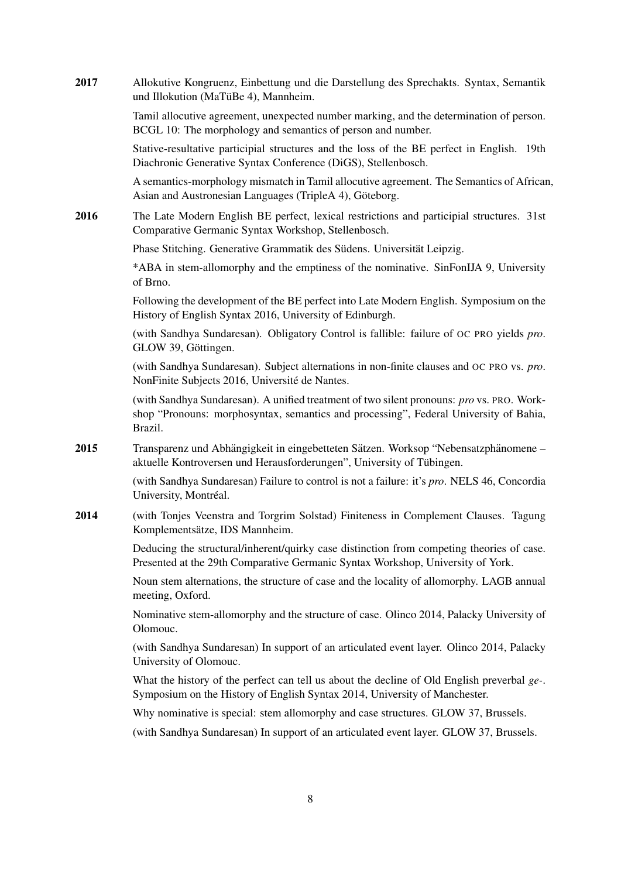| Tamil allocutive agreement, unexpected number marking, and the determination of person.<br>BCGL 10: The morphology and semantics of person and number.                                        |
|-----------------------------------------------------------------------------------------------------------------------------------------------------------------------------------------------|
| Stative-resultative participial structures and the loss of the BE perfect in English. 19th<br>Diachronic Generative Syntax Conference (DiGS), Stellenbosch.                                   |
| A semantics-morphology mismatch in Tamil allocutive agreement. The Semantics of African,<br>Asian and Austronesian Languages (TripleA 4), Göteborg.                                           |
| The Late Modern English BE perfect, lexical restrictions and participial structures. 31st<br>Comparative Germanic Syntax Workshop, Stellenbosch.                                              |
| Phase Stitching. Generative Grammatik des Südens. Universität Leipzig.                                                                                                                        |
| *ABA in stem-allomorphy and the emptiness of the nominative. SinFonIJA 9, University<br>of Brno.                                                                                              |
| Following the development of the BE perfect into Late Modern English. Symposium on the<br>History of English Syntax 2016, University of Edinburgh.                                            |
| (with Sandhya Sundaresan). Obligatory Control is fallible: failure of OC PRO yields pro.<br>GLOW 39, Göttingen.                                                                               |
| (with Sandhya Sundaresan). Subject alternations in non-finite clauses and OC PRO vs. pro.<br>NonFinite Subjects 2016, Université de Nantes.                                                   |
| (with Sandhya Sundaresan). A unified treatment of two silent pronouns: pro vs. PRO. Work-<br>shop "Pronouns: morphosyntax, semantics and processing", Federal University of Bahia,<br>Brazil. |
| Transparenz und Abhängigkeit in eingebetteten Sätzen. Worksop "Nebensatzphänomene –<br>aktuelle Kontroversen und Herausforderungen", University of Tübingen.                                  |
| (with Sandhya Sundaresan) Failure to control is not a failure: it's pro. NELS 46, Concordia<br>University, Montréal.                                                                          |
| (with Tonjes Veenstra and Torgrim Solstad) Finiteness in Complement Clauses. Tagung<br>Komplementsätze, IDS Mannheim.                                                                         |
| Deducing the structural/inherent/quirky case distinction from competing theories of case.<br>Presented at the 29th Comparative Germanic Syntax Workshop, University of York.                  |
| Noun stem alternations, the structure of case and the locality of allomorphy. LAGB annual<br>meeting, Oxford.                                                                                 |
| Nominative stem-allomorphy and the structure of case. Olinco 2014, Palacky University of<br>Olomouc.                                                                                          |
| (with Sandhya Sundaresan) In support of an articulated event layer. Olinco 2014, Palacky<br>University of Olomouc.                                                                            |
| What the history of the perfect can tell us about the decline of Old English preverbal $ge$ .<br>Symposium on the History of English Syntax 2014, University of Manchester.                   |
| Why nominative is special: stem allomorphy and case structures. GLOW 37, Brussels.                                                                                                            |
| (with Sandhya Sundaresan) In support of an articulated event layer. GLOW 37, Brussels.                                                                                                        |
|                                                                                                                                                                                               |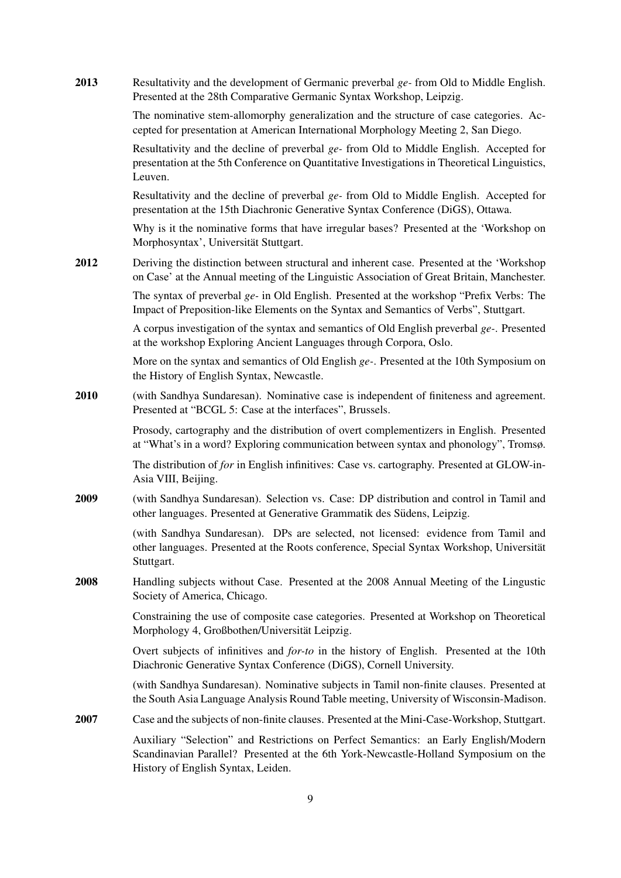| 2013 | Resultativity and the development of Germanic preverbal ge- from Old to Middle English.<br>Presented at the 28th Comparative Germanic Syntax Workshop, Leipzig.                                                   |
|------|-------------------------------------------------------------------------------------------------------------------------------------------------------------------------------------------------------------------|
|      | The nominative stem-allomorphy generalization and the structure of case categories. Ac-<br>cepted for presentation at American International Morphology Meeting 2, San Diego.                                     |
|      | Resultativity and the decline of preverbal ge- from Old to Middle English. Accepted for<br>presentation at the 5th Conference on Quantitative Investigations in Theoretical Linguistics,<br>Leuven.               |
|      | Resultativity and the decline of preverbal ge- from Old to Middle English. Accepted for<br>presentation at the 15th Diachronic Generative Syntax Conference (DiGS), Ottawa.                                       |
|      | Why is it the nominative forms that have irregular bases? Presented at the 'Workshop on<br>Morphosyntax', Universität Stuttgart.                                                                                  |
| 2012 | Deriving the distinction between structural and inherent case. Presented at the 'Workshop<br>on Case' at the Annual meeting of the Linguistic Association of Great Britain, Manchester.                           |
|      | The syntax of preverbal $ge-$ in Old English. Presented at the workshop "Prefix Verbs: The<br>Impact of Preposition-like Elements on the Syntax and Semantics of Verbs", Stuttgart.                               |
|      | A corpus investigation of the syntax and semantics of Old English preverbal $ge$ -. Presented<br>at the workshop Exploring Ancient Languages through Corpora, Oslo.                                               |
|      | More on the syntax and semantics of Old English $ge$ -. Presented at the 10th Symposium on<br>the History of English Syntax, Newcastle.                                                                           |
| 2010 | (with Sandhya Sundaresan). Nominative case is independent of finiteness and agreement.<br>Presented at "BCGL 5: Case at the interfaces", Brussels.                                                                |
|      | Prosody, cartography and the distribution of overt complementizers in English. Presented<br>at "What's in a word? Exploring communication between syntax and phonology", Tromsø.                                  |
|      | The distribution of for in English infinitives: Case vs. cartography. Presented at GLOW-in-<br>Asia VIII, Beijing.                                                                                                |
| 2009 | (with Sandhya Sundaresan). Selection vs. Case: DP distribution and control in Tamil and<br>other languages. Presented at Generative Grammatik des Südens, Leipzig.                                                |
|      | (with Sandhya Sundaresan). DPs are selected, not licensed: evidence from Tamil and<br>other languages. Presented at the Roots conference, Special Syntax Workshop, Universität<br>Stuttgart.                      |
| 2008 | Handling subjects without Case. Presented at the 2008 Annual Meeting of the Lingustic<br>Society of America, Chicago.                                                                                             |
|      | Constraining the use of composite case categories. Presented at Workshop on Theoretical<br>Morphology 4, Großbothen/Universität Leipzig.                                                                          |
|      | Overt subjects of infinitives and <i>for-to</i> in the history of English. Presented at the 10th<br>Diachronic Generative Syntax Conference (DiGS), Cornell University.                                           |
|      | (with Sandhya Sundaresan). Nominative subjects in Tamil non-finite clauses. Presented at<br>the South Asia Language Analysis Round Table meeting, University of Wisconsin-Madison.                                |
| 2007 | Case and the subjects of non-finite clauses. Presented at the Mini-Case-Workshop, Stuttgart.                                                                                                                      |
|      | Auxiliary "Selection" and Restrictions on Perfect Semantics: an Early English/Modern<br>Scandinavian Parallel? Presented at the 6th York-Newcastle-Holland Symposium on the<br>History of English Syntax, Leiden. |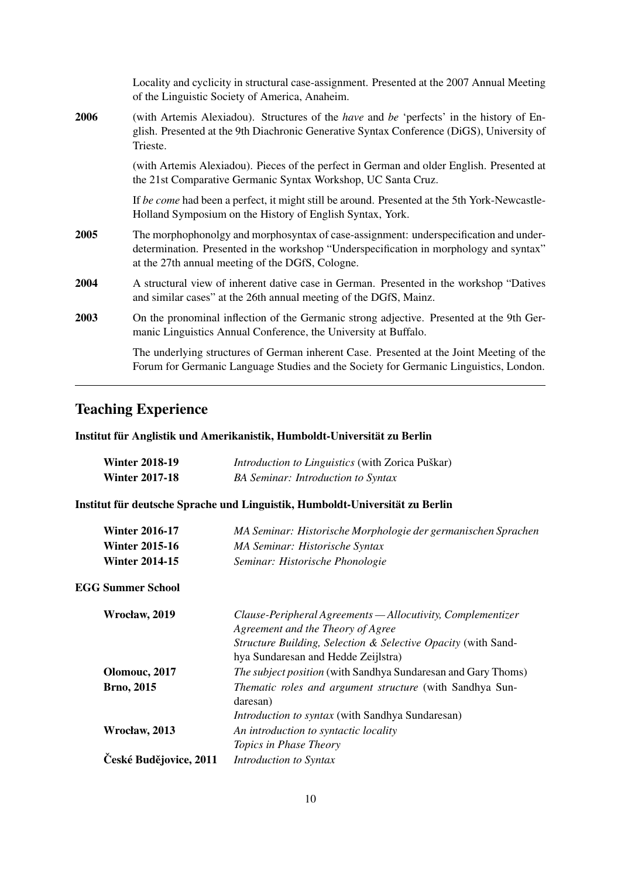|      | Locality and cyclicity in structural case-assignment. Presented at the 2007 Annual Meeting<br>of the Linguistic Society of America, Anaheim.                                                                                        |
|------|-------------------------------------------------------------------------------------------------------------------------------------------------------------------------------------------------------------------------------------|
| 2006 | (with Artemis Alexiadou). Structures of the <i>have</i> and <i>be</i> 'perfects' in the history of En-<br>glish. Presented at the 9th Diachronic Generative Syntax Conference (DiGS), University of<br>Trieste.                     |
|      | (with Artemis Alexiadou). Pieces of the perfect in German and older English. Presented at<br>the 21st Comparative Germanic Syntax Workshop, UC Santa Cruz.                                                                          |
|      | If be come had been a perfect, it might still be around. Presented at the 5th York-Newcastle-<br>Holland Symposium on the History of English Syntax, York.                                                                          |
| 2005 | The morphophonolgy and morphosyntax of case-assignment: underspecification and under-<br>determination. Presented in the workshop "Underspecification in morphology and syntax"<br>at the 27th annual meeting of the DGfS, Cologne. |
| 2004 | A structural view of inherent dative case in German. Presented in the workshop "Datives"<br>and similar cases" at the 26th annual meeting of the DGfS, Mainz.                                                                       |
| 2003 | On the pronominal inflection of the Germanic strong adjective. Presented at the 9th Ger-<br>manic Linguistics Annual Conference, the University at Buffalo.                                                                         |
|      | The underlying structures of German inherent Case. Presented at the Joint Meeting of the<br>Forum for Germanic Language Studies and the Society for Germanic Linguistics, London.                                                   |

# Teaching Experience

### Institut für Anglistik und Amerikanistik, Humboldt-Universität zu Berlin

| <b>Winter 2018-19</b> | <i>Introduction to Linguistics</i> (with Zorica Puškar) |
|-----------------------|---------------------------------------------------------|
| <b>Winter 2017-18</b> | <b>BA Seminar: Introduction to Syntax</b>               |

### Institut für deutsche Sprache und Linguistik, Humboldt-Universität zu Berlin

| <b>Winter 2016-17</b><br><b>Winter 2015-16</b><br><b>Winter 2014-15</b> | MA Seminar: Historische Morphologie der germanischen Sprachen<br>MA Seminar: Historische Syntax<br>Seminar: Historische Phonologie                                                                       |
|-------------------------------------------------------------------------|----------------------------------------------------------------------------------------------------------------------------------------------------------------------------------------------------------|
| <b>EGG Summer School</b>                                                |                                                                                                                                                                                                          |
| Wrocław, 2019                                                           | Clause-Peripheral Agreements — Allocutivity, Complementizer<br>Agreement and the Theory of Agree<br>Structure Building, Selection & Selective Opacity (with Sand-<br>hya Sundaresan and Hedde Zeijlstra) |
| Olomouc, 2017                                                           | <i>The subject position</i> (with Sandhya Sundaresan and Gary Thoms)                                                                                                                                     |
| <b>Brno, 2015</b>                                                       | Thematic roles and argument structure (with Sandhya Sun-<br>daresan)                                                                                                                                     |
|                                                                         | <i>Introduction to syntax</i> (with Sandhya Sundaresan)                                                                                                                                                  |
| Wrocław, 2013                                                           | An introduction to syntactic locality                                                                                                                                                                    |
|                                                                         | Topics in Phase Theory                                                                                                                                                                                   |
| České Budějovice, 2011                                                  | Introduction to Syntax                                                                                                                                                                                   |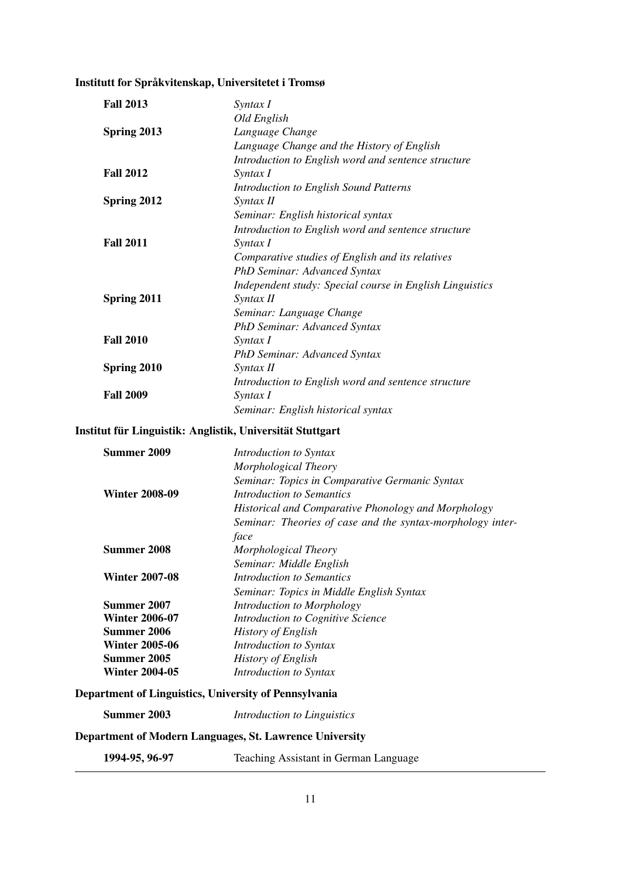# Institutt for Språkvitenskap, Universitetet i Tromsø

| <b>Fall 2013</b>      | Syntax I                                                   |
|-----------------------|------------------------------------------------------------|
|                       | Old English                                                |
| Spring 2013           | Language Change                                            |
|                       | Language Change and the History of English                 |
|                       | Introduction to English word and sentence structure        |
| <b>Fall 2012</b>      | Syntax I                                                   |
|                       | <b>Introduction to English Sound Patterns</b>              |
| Spring 2012           | Syntax II                                                  |
|                       | Seminar: English historical syntax                         |
|                       | Introduction to English word and sentence structure        |
| <b>Fall 2011</b>      | Syntax I                                                   |
|                       | Comparative studies of English and its relatives           |
|                       | PhD Seminar: Advanced Syntax                               |
|                       | Independent study: Special course in English Linguistics   |
| Spring 2011           | Syntax II                                                  |
|                       | Seminar: Language Change                                   |
|                       | PhD Seminar: Advanced Syntax                               |
| <b>Fall 2010</b>      | Syntax I                                                   |
|                       |                                                            |
|                       | <b>PhD Seminar: Advanced Syntax</b><br>Syntax II           |
| Spring 2010           |                                                            |
| <b>Fall 2009</b>      | Introduction to English word and sentence structure        |
|                       | Syntax I                                                   |
|                       | Seminar: English historical syntax                         |
|                       | Institut für Linguistik: Anglistik, Universität Stuttgart  |
| <b>Summer 2009</b>    | Introduction to Syntax                                     |
|                       | Morphological Theory                                       |
|                       | Seminar: Topics in Comparative Germanic Syntax             |
| <b>Winter 2008-09</b> | <b>Introduction to Semantics</b>                           |
|                       | Historical and Comparative Phonology and Morphology        |
|                       | Seminar: Theories of case and the syntax-morphology inter- |
|                       | face                                                       |
| <b>Summer 2008</b>    | Morphological Theory                                       |
|                       | Seminar: Middle English                                    |
| <b>Winter 2007-08</b> | <b>Introduction to Semantics</b>                           |
|                       | Seminar: Topics in Middle English Syntax                   |
| Summer 2007           | Introduction to Morphology                                 |
| <b>Winter 2006-07</b> | Introduction to Cognitive Science                          |
| <b>Summer 2006</b>    | <b>History of English</b>                                  |
| <b>Winter 2005-06</b> | Introduction to Syntax                                     |
| Summer 2005           | <b>History of English</b>                                  |
| <b>Winter 2004-05</b> | Introduction to Syntax                                     |
|                       | Department of Linguistics, University of Pennsylvania      |
| Summer 2003           | Introduction to Linguistics                                |
|                       | Department of Modern Languages, St. Lawrence University    |
|                       |                                                            |

1994-95, 96-97 Teaching Assistant in German Language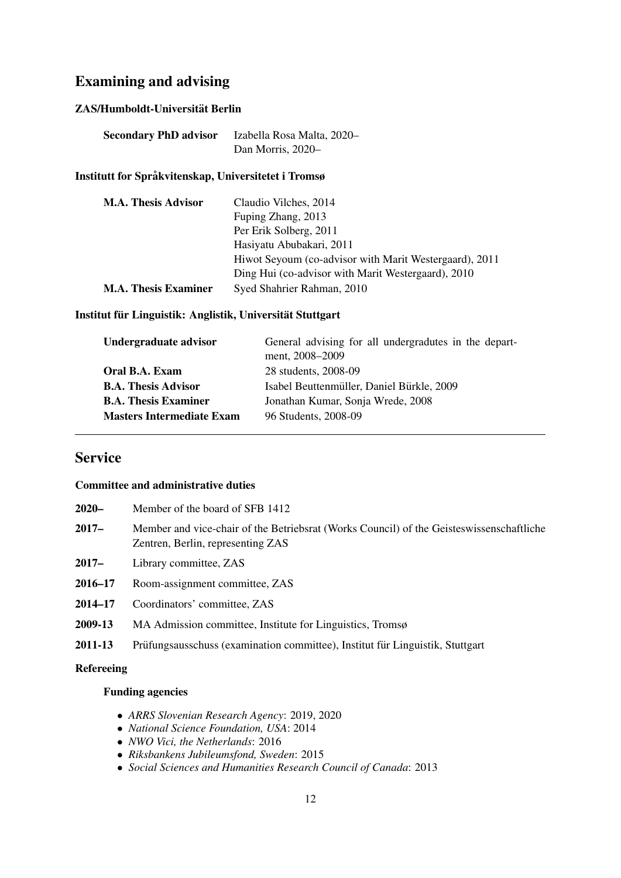## Examining and advising

#### ZAS/Humboldt-Universität Berlin

| <b>Secondary PhD advisor</b> | Izabella Rosa Malta, 2020- |
|------------------------------|----------------------------|
|                              | Dan Morris, 2020-          |

#### Institutt for Språkvitenskap, Universitetet i Tromsø

| <b>M.A. Thesis Advisor</b>  | Claudio Vilches, 2014                                  |
|-----------------------------|--------------------------------------------------------|
|                             | Fuping Zhang, 2013                                     |
|                             | Per Erik Solberg, 2011                                 |
|                             | Hasiyatu Abubakari, 2011                               |
|                             | Hiwot Seyoum (co-advisor with Marit Westergaard), 2011 |
|                             | Ding Hui (co-advisor with Marit Westergaard), 2010     |
| <b>M.A. Thesis Examiner</b> | Syed Shahrier Rahman, 2010                             |

#### Institut für Linguistik: Anglistik, Universität Stuttgart

| Undergraduate advisor            | General advising for all undergradutes in the depart-<br>ment, 2008–2009 |
|----------------------------------|--------------------------------------------------------------------------|
| Oral B.A. Exam                   | 28 students, 2008-09                                                     |
| <b>B.A. Thesis Advisor</b>       | Isabel Beuttenmüller, Daniel Bürkle, 2009                                |
| <b>B.A. Thesis Examiner</b>      | Jonathan Kumar, Sonja Wrede, 2008                                        |
|                                  |                                                                          |
| <b>Masters Intermediate Exam</b> | 96 Students, 2008-09                                                     |

### Service

#### Committee and administrative duties

| $2020 -$             | Member of the board of SFB 1412 |  |
|----------------------|---------------------------------|--|
| $\sim$ $\sim$ $\sim$ | .                               |  |

- 2017– Member and vice-chair of the Betriebsrat (Works Council) of the Geisteswissenschaftliche Zentren, Berlin, representing ZAS
- 2017– Library committee, ZAS
- 2016–17 Room-assignment committee, ZAS
- 2014–17 Coordinators' committee, ZAS
- 2009-13 MA Admission committee, Institute for Linguistics, Tromsø
- 2011-13 Prüfungsausschuss (examination committee), Institut für Linguistik, Stuttgart

#### Refereeing

#### Funding agencies

- *ARRS Slovenian Research Agency*: 2019, 2020
- *National Science Foundation, USA*: 2014
- *NWO Vici, the Netherlands*: 2016
- *Riksbankens Jubileumsfond, Sweden*: 2015
- *Social Sciences and Humanities Research Council of Canada*: 2013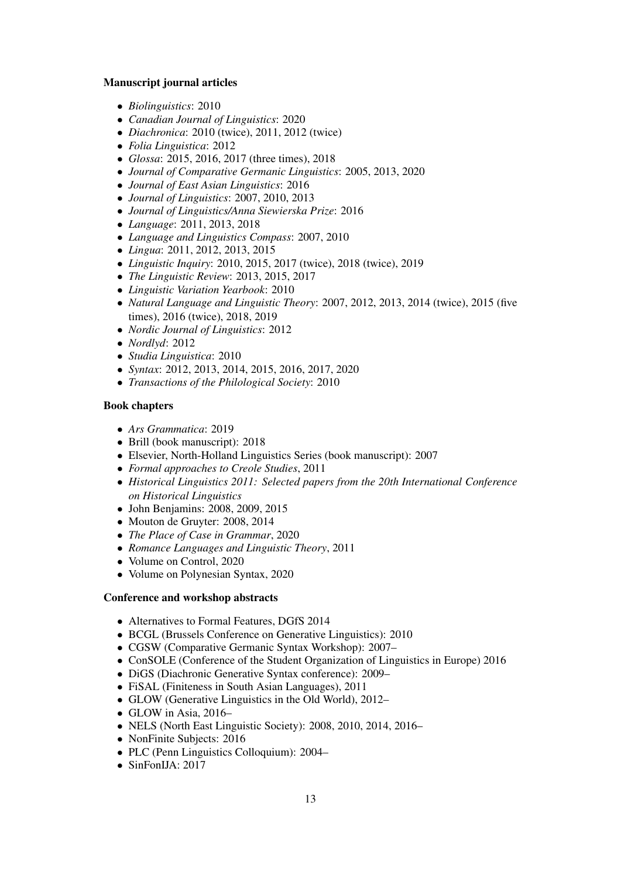#### Manuscript journal articles

- *Biolinguistics*: 2010
- *Canadian Journal of Linguistics*: 2020
- *Diachronica*: 2010 (twice), 2011, 2012 (twice)
- *Folia Linguistica*: 2012
- *Glossa*: 2015, 2016, 2017 (three times), 2018
- *Journal of Comparative Germanic Linguistics*: 2005, 2013, 2020
- *Journal of East Asian Linguistics*: 2016
- *Journal of Linguistics*: 2007, 2010, 2013
- *Journal of Linguistics/Anna Siewierska Prize*: 2016
- *Language*: 2011, 2013, 2018
- *Language and Linguistics Compass*: 2007, 2010
- *Lingua*: 2011, 2012, 2013, 2015
- *Linguistic Inquiry*: 2010, 2015, 2017 (twice), 2018 (twice), 2019
- *The Linguistic Review*: 2013, 2015, 2017
- *Linguistic Variation Yearbook*: 2010
- *Natural Language and Linguistic Theory*: 2007, 2012, 2013, 2014 (twice), 2015 (five times), 2016 (twice), 2018, 2019
- *Nordic Journal of Linguistics*: 2012
- *Nordlyd*: 2012
- *Studia Linguistica*: 2010
- *Syntax*: 2012, 2013, 2014, 2015, 2016, 2017, 2020
- *Transactions of the Philological Society*: 2010

#### Book chapters

- *Ars Grammatica*: 2019
- Brill (book manuscript): 2018
- Elsevier, North-Holland Linguistics Series (book manuscript): 2007
- *Formal approaches to Creole Studies*, 2011
- *Historical Linguistics 2011: Selected papers from the 20th International Conference on Historical Linguistics*
- John Benjamins: 2008, 2009, 2015
- Mouton de Gruyter: 2008, 2014
- *The Place of Case in Grammar*, 2020
- *Romance Languages and Linguistic Theory*, 2011
- Volume on Control, 2020
- Volume on Polynesian Syntax, 2020

#### Conference and workshop abstracts

- Alternatives to Formal Features, DGfS 2014
- BCGL (Brussels Conference on Generative Linguistics): 2010
- CGSW (Comparative Germanic Syntax Workshop): 2007–
- ConSOLE (Conference of the Student Organization of Linguistics in Europe) 2016
- DiGS (Diachronic Generative Syntax conference): 2009–
- FiSAL (Finiteness in South Asian Languages), 2011
- GLOW (Generative Linguistics in the Old World), 2012–
- GLOW in Asia, 2016–
- NELS (North East Linguistic Society): 2008, 2010, 2014, 2016–
- NonFinite Subjects: 2016
- PLC (Penn Linguistics Colloquium): 2004–
- SinFonIJA: 2017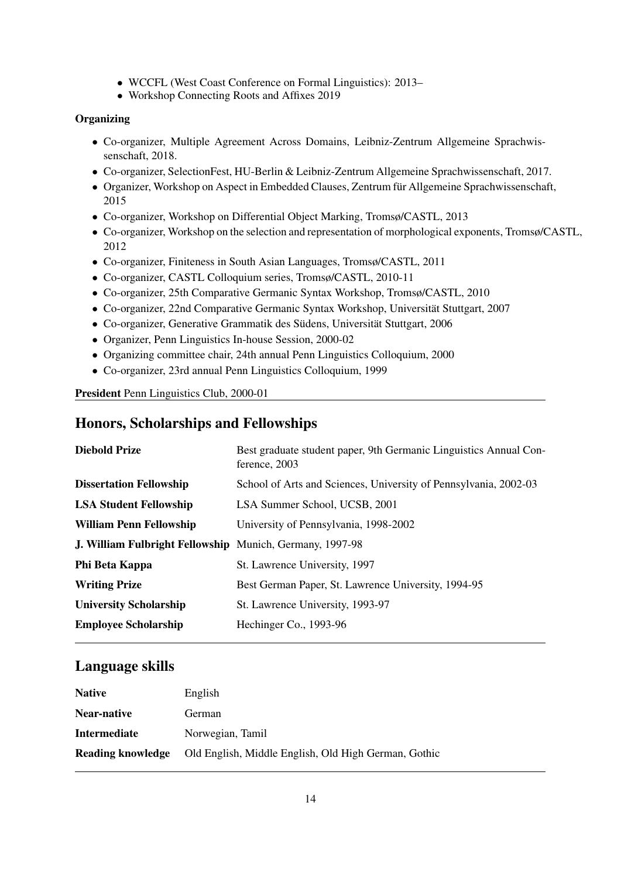- WCCFL (West Coast Conference on Formal Linguistics): 2013–
- Workshop Connecting Roots and Affixes 2019

#### **Organizing**

- Co-organizer, Multiple Agreement Across Domains, Leibniz-Zentrum Allgemeine Sprachwissenschaft, 2018.
- Co-organizer, SelectionFest, HU-Berlin & Leibniz-Zentrum Allgemeine Sprachwissenschaft, 2017.
- Organizer, Workshop on Aspect in Embedded Clauses, Zentrum für Allgemeine Sprachwissenschaft, 2015
- Co-organizer, Workshop on Differential Object Marking, Tromsø/CASTL, 2013
- Co-organizer, Workshop on the selection and representation of morphological exponents, Tromsø/CASTL, 2012
- Co-organizer, Finiteness in South Asian Languages, Tromsø/CASTL, 2011
- Co-organizer, CASTL Colloquium series, Tromsø/CASTL, 2010-11
- Co-organizer, 25th Comparative Germanic Syntax Workshop, Tromsø/CASTL, 2010
- Co-organizer, 22nd Comparative Germanic Syntax Workshop, Universität Stuttgart, 2007
- Co-organizer, Generative Grammatik des Südens, Universität Stuttgart, 2006
- Organizer, Penn Linguistics In-house Session, 2000-02
- Organizing committee chair, 24th annual Penn Linguistics Colloquium, 2000
- Co-organizer, 23rd annual Penn Linguistics Colloquium, 1999

President Penn Linguistics Club, 2000-01

## Honors, Scholarships and Fellowships

| <b>Diebold Prize</b>                                            | Best graduate student paper, 9th Germanic Linguistics Annual Con-<br>ference, 2003 |
|-----------------------------------------------------------------|------------------------------------------------------------------------------------|
| <b>Dissertation Fellowship</b>                                  | School of Arts and Sciences, University of Pennsylvania, 2002-03                   |
| <b>LSA Student Fellowship</b>                                   | LSA Summer School, UCSB, 2001                                                      |
| <b>William Penn Fellowship</b>                                  | University of Pennsylvania, 1998-2002                                              |
| <b>J. William Fulbright Fellowship</b> Munich, Germany, 1997-98 |                                                                                    |
| Phi Beta Kappa                                                  | St. Lawrence University, 1997                                                      |
| <b>Writing Prize</b>                                            | Best German Paper, St. Lawrence University, 1994-95                                |
| <b>University Scholarship</b>                                   | St. Lawrence University, 1993-97                                                   |
| <b>Employee Scholarship</b>                                     | Hechinger Co., 1993-96                                                             |

### Language skills

| English                                              |
|------------------------------------------------------|
| German                                               |
| Norwegian, Tamil                                     |
| Old English, Middle English, Old High German, Gothic |
|                                                      |